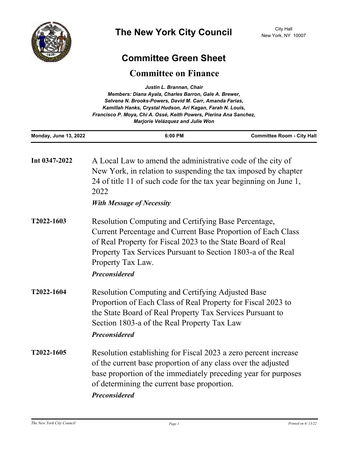

## **Committee Green Sheet**

## **Committee on Finance**

|                              | Members: Diana Ayala, Charles Barron, Gale A. Brewer,<br>Selvena N. Brooks-Powers, David M. Carr, Amanda Farias,<br>Kamillah Hanks, Crystal Hudson, Ari Kagan, Farah N. Louis,<br>Francisco P. Moya, Chi A. Ossé, Keith Powers, Pierina Ana Sanchez,                                             |                                   |
|------------------------------|--------------------------------------------------------------------------------------------------------------------------------------------------------------------------------------------------------------------------------------------------------------------------------------------------|-----------------------------------|
| <b>Monday, June 13, 2022</b> | 6:00 PM                                                                                                                                                                                                                                                                                          | <b>Committee Room - City Hall</b> |
| Int 0347-2022                | A Local Law to amend the administrative code of the city of<br>New York, in relation to suspending the tax imposed by chapter<br>24 of title 11 of such code for the tax year beginning on June 1,<br>2022<br><b>With Message of Necessity</b>                                                   |                                   |
| T2022-1603                   | Resolution Computing and Certifying Base Percentage,<br>Current Percentage and Current Base Proportion of Each Class<br>of Real Property for Fiscal 2023 to the State Board of Real<br>Property Tax Services Pursuant to Section 1803-a of the Real<br>Property Tax Law.<br><b>Preconsidered</b> |                                   |
| T2022-1604                   | <b>Resolution Computing and Certifying Adjusted Base</b><br>Proportion of Each Class of Real Property for Fiscal 2023 to<br>the State Board of Real Property Tax Services Pursuant to<br>Section 1803-a of the Real Property Tax Law<br><b>Preconsidered</b>                                     |                                   |
| T2022-1605                   | Resolution establishing for Fiscal 2023 a zero percent increase<br>of the current base proportion of any class over the adjusted<br>base proportion of the immediately preceding year for purposes<br>of determining the current base proportion.<br><b>Preconsidered</b>                        |                                   |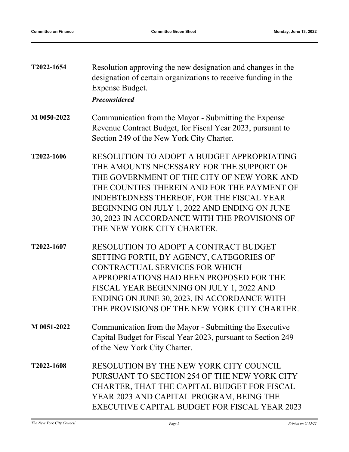| T2022-1654 | Resolution approving the new designation and changes in the    |
|------------|----------------------------------------------------------------|
|            | designation of certain organizations to receive funding in the |
|            | Expense Budget.                                                |
|            |                                                                |

*Preconsidered*

- Communication from the Mayor Submitting the Expense Revenue Contract Budget, for Fiscal Year 2023, pursuant to Section 249 of the New York City Charter. **M 0050-2022**
- RESOLUTION TO ADOPT A BUDGET APPROPRIATING THE AMOUNTS NECESSARY FOR THE SUPPORT OF THE GOVERNMENT OF THE CITY OF NEW YORK AND THE COUNTIES THEREIN AND FOR THE PAYMENT OF INDEBTEDNESS THEREOF, FOR THE FISCAL YEAR BEGINNING ON JULY 1, 2022 AND ENDING ON JUNE 30, 2023 IN ACCORDANCE WITH THE PROVISIONS OF THE NEW YORK CITY CHARTER. **T2022-1606**
- RESOLUTION TO ADOPT A CONTRACT BUDGET SETTING FORTH, BY AGENCY, CATEGORIES OF CONTRACTUAL SERVICES FOR WHICH APPROPRIATIONS HAD BEEN PROPOSED FOR THE FISCAL YEAR BEGINNING ON JULY 1, 2022 AND ENDING ON JUNE 30, 2023, IN ACCORDANCE WITH THE PROVISIONS OF THE NEW YORK CITY CHARTER. **T2022-1607**
- Communication from the Mayor Submitting the Executive Capital Budget for Fiscal Year 2023, pursuant to Section 249 of the New York City Charter. **M 0051-2022**
- RESOLUTION BY THE NEW YORK CITY COUNCIL PURSUANT TO SECTION 254 OF THE NEW YORK CITY CHARTER, THAT THE CAPITAL BUDGET FOR FISCAL YEAR 2023 AND CAPITAL PROGRAM, BEING THE EXECUTIVE CAPITAL BUDGET FOR FISCAL YEAR 2023 **T2022-1608**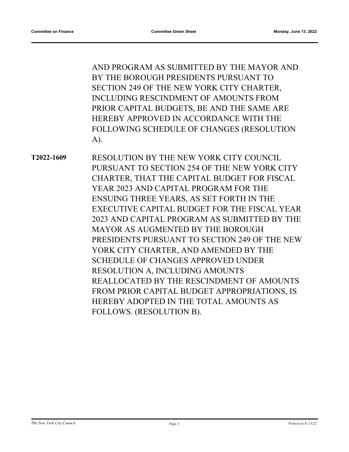AND PROGRAM AS SUBMITTED BY THE MAYOR AND BY THE BOROUGH PRESIDENTS PURSUANT TO SECTION 249 OF THE NEW YORK CITY CHARTER, INCLUDING RESCINDMENT OF AMOUNTS FROM PRIOR CAPITAL BUDGETS, BE AND THE SAME ARE HEREBY APPROVED IN ACCORDANCE WITH THE FOLLOWING SCHEDULE OF CHANGES (RESOLUTION A).

RESOLUTION BY THE NEW YORK CITY COUNCIL PURSUANT TO SECTION 254 OF THE NEW YORK CITY CHARTER, THAT THE CAPITAL BUDGET FOR FISCAL YEAR 2023 AND CAPITAL PROGRAM FOR THE ENSUING THREE YEARS, AS SET FORTH IN THE EXECUTIVE CAPITAL BUDGET FOR THE FISCAL YEAR 2023 AND CAPITAL PROGRAM AS SUBMITTED BY THE MAYOR AS AUGMENTED BY THE BOROUGH PRESIDENTS PURSUANT TO SECTION 249 OF THE NEW YORK CITY CHARTER, AND AMENDED BY THE SCHEDULE OF CHANGES APPROVED UNDER RESOLUTION A, INCLUDING AMOUNTS REALLOCATED BY THE RESCINDMENT OF AMOUNTS FROM PRIOR CAPITAL BUDGET APPROPRIATIONS, IS HEREBY ADOPTED IN THE TOTAL AMOUNTS AS FOLLOWS. (RESOLUTION B). **T2022-1609**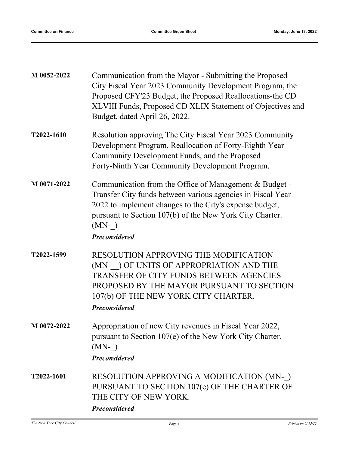| M 0052-2022 | Communication from the Mayor - Submitting the Proposed<br>City Fiscal Year 2023 Community Development Program, the<br>Proposed CFY'23 Budget, the Proposed Reallocations-the CD<br>XLVIII Funds, Proposed CD XLIX Statement of Objectives and<br>Budget, dated April 26, 2022.   |
|-------------|----------------------------------------------------------------------------------------------------------------------------------------------------------------------------------------------------------------------------------------------------------------------------------|
| T2022-1610  | Resolution approving The City Fiscal Year 2023 Community<br>Development Program, Reallocation of Forty-Eighth Year<br>Community Development Funds, and the Proposed<br>Forty-Ninth Year Community Development Program.                                                           |
| M 0071-2022 | Communication from the Office of Management & Budget -<br>Transfer City funds between various agencies in Fiscal Year<br>2022 to implement changes to the City's expense budget,<br>pursuant to Section 107(b) of the New York City Charter.<br>$(MN- )$<br><b>Preconsidered</b> |
| T2022-1599  | RESOLUTION APPROVING THE MODIFICATION<br>(MN- ) OF UNITS OF APPROPRIATION AND THE<br>TRANSFER OF CITY FUNDS BETWEEN AGENCIES<br>PROPOSED BY THE MAYOR PURSUANT TO SECTION<br>107(b) OF THE NEW YORK CITY CHARTER.<br><b>Preconsidered</b>                                        |
| M 0072-2022 | Appropriation of new City revenues in Fiscal Year 2022.<br>pursuant to Section 107(e) of the New York City Charter.<br>$(MN- )$<br><b>Preconsidered</b>                                                                                                                          |
| T2022-1601  | RESOLUTION APPROVING A MODIFICATION (MN-)<br>PURSUANT TO SECTION 107(e) OF THE CHARTER OF<br>THE CITY OF NEW YORK.<br><b>Preconsidered</b>                                                                                                                                       |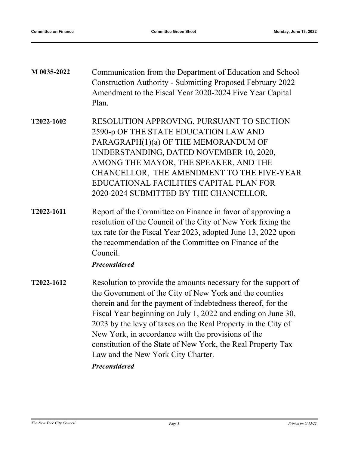| M 0035-2022 | Communication from the Department of Education and School<br><b>Construction Authority - Submitting Proposed February 2022</b><br>Amendment to the Fiscal Year 2020-2024 Five Year Capital<br>Plan.                                                                                                                                               |
|-------------|---------------------------------------------------------------------------------------------------------------------------------------------------------------------------------------------------------------------------------------------------------------------------------------------------------------------------------------------------|
| T2022-1602  | RESOLUTION APPROVING, PURSUANT TO SECTION<br>2590-p OF THE STATE EDUCATION LAW AND<br>PARAGRAPH(1)(a) OF THE MEMORANDUM OF<br>UNDERSTANDING, DATED NOVEMBER 10, 2020,<br>AMONG THE MAYOR, THE SPEAKER, AND THE<br>CHANCELLOR, THE AMENDMENT TO THE FIVE-YEAR<br>EDUCATIONAL FACILITIES CAPITAL PLAN FOR<br>2020-2024 SUBMITTED BY THE CHANCELLOR. |
| T2022-1611  | Report of the Committee on Finance in favor of approving a<br>resolution of the Council of the City of New York fixing the<br>tax rate for the Fiscal Year 2023, adopted June 13, 2022 upon<br>the recommendation of the Committee on Finance of the<br>Council.<br><b>Preconsidered</b>                                                          |
| T2022-1612  | Resolution to provide the amounts necessary for the support of<br>the Government of the City of New York and the counties                                                                                                                                                                                                                         |

therein and for the payment of indebtedness thereof, for the Fiscal Year beginning on July 1, 2022 and ending on June 30, 2023 by the levy of taxes on the Real Property in the City of New York, in accordance with the provisions of the constitution of the State of New York, the Real Property Tax Law and the New York City Charter.

*Preconsidered*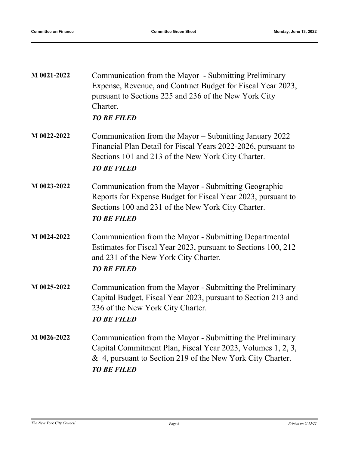| M 0021-2022 | Communication from the Mayor - Submitting Preliminary<br>Expense, Revenue, and Contract Budget for Fiscal Year 2023,<br>pursuant to Sections 225 and 236 of the New York City<br>Charter.<br><b>TO BE FILED</b> |
|-------------|-----------------------------------------------------------------------------------------------------------------------------------------------------------------------------------------------------------------|
| M 0022-2022 | Communication from the Mayor – Submitting January 2022<br>Financial Plan Detail for Fiscal Years 2022-2026, pursuant to<br>Sections 101 and 213 of the New York City Charter.<br><b>TO BE FILED</b>             |
| M 0023-2022 | Communication from the Mayor - Submitting Geographic<br>Reports for Expense Budget for Fiscal Year 2023, pursuant to<br>Sections 100 and 231 of the New York City Charter.<br><b>TO BE FILED</b>                |
| M 0024-2022 | Communication from the Mayor - Submitting Departmental<br>Estimates for Fiscal Year 2023, pursuant to Sections 100, 212<br>and 231 of the New York City Charter.<br><b>TO BE FILED</b>                          |
| M 0025-2022 | Communication from the Mayor - Submitting the Preliminary<br>Capital Budget, Fiscal Year 2023, pursuant to Section 213 and<br>236 of the New York City Charter.<br><b>TO BE FILED</b>                           |
| M 0026-2022 | Communication from the Mayor - Submitting the Preliminary<br>Capital Commitment Plan, Fiscal Year 2023, Volumes 1, 2, 3,<br>& 4, pursuant to Section 219 of the New York City Charter.<br><b>TO BE FILED</b>    |